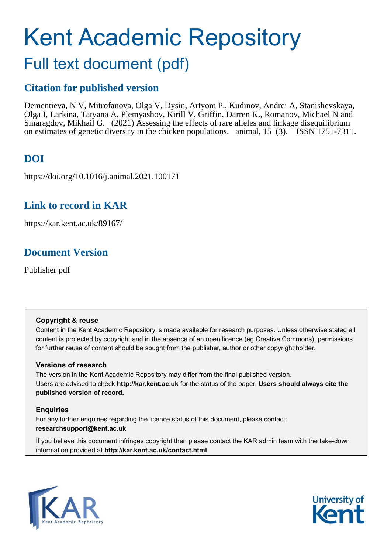# Kent Academic Repository

## Full text document (pdf)

### **Citation for published version**

Dementieva, N V, Mitrofanova, Olga V, Dysin, Artyom P., Kudinov, Andrei A, Stanishevskaya, Olga I, Larkina, Tatyana A, Plemyashov, Kirill V, Griffin, Darren K., Romanov, Michael N and Smaragdov, Mikhail G. (2021) Assessing the effects of rare alleles and linkage disequilibrium on estimates of genetic diversity in the chicken populations. animal, 15 (3). ISSN 1751-7311.

### **DOI**

https://doi.org/10.1016/j.animal.2021.100171

### **Link to record in KAR**

https://kar.kent.ac.uk/89167/

### **Document Version**

Publisher pdf

### **Copyright & reuse**

Content in the Kent Academic Repository is made available for research purposes. Unless otherwise stated all content is protected by copyright and in the absence of an open licence (eg Creative Commons), permissions for further reuse of content should be sought from the publisher, author or other copyright holder.

### **Versions of research**

The version in the Kent Academic Repository may differ from the final published version. Users are advised to check **http://kar.kent.ac.uk** for the status of the paper. **Users should always cite the published version of record.**

### **Enquiries**

For any further enquiries regarding the licence status of this document, please contact: **researchsupport@kent.ac.uk**

If you believe this document infringes copyright then please contact the KAR admin team with the take-down information provided at **http://kar.kent.ac.uk/contact.html**



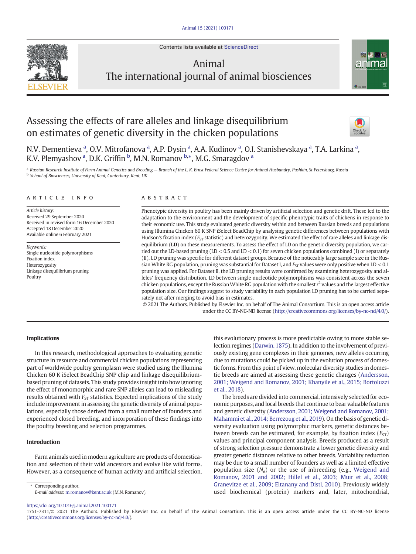Contents lists available at [ScienceDirect](http://www.sciencedirect.com/science/journal/)



### Animal The international journal of animal biosciences

### Assessing the effects of rare alleles and linkage disequilibrium on estimates of genetic diversity in the chicken populations





N.V. Dementieva <sup>a</sup>, O.V. Mitrofanova <sup>a</sup>, A.P. Dysin <sup>a</sup>, A.A. Kudinov <sup>a</sup>, O.I. Stanishevskaya <sup>a</sup>, T.A. Larkina <sup>a</sup>, K.V. Plemyashov <sup>a</sup>, D.K. Griffin <sup>b</sup>, M.N. Romanov <sup>b,</sup>\*, M.G. Smaragdov <sup>a</sup>

a Russian Research Institute of Farm Animal Genetics and Breeding - Branch of the L.K. Ernst Federal Science Centre for Animal Husbandry, Pushkin, St Petersburg, Russia **b** School of Biosciences, University of Kent, Canterbury, Kent, UK

#### article info abstract

Article history: Received 29 September 2020 Received in revised form 16 December 2020 Accepted 18 December 2020 Available online 6 February 2021

Keywords: Single nucleotide polymorphisms Fixation index Heterozygosity Linkage disequilibrium pruning Poultry

Phenotypic diversity in poultry has been mainly driven by artificial selection and genetic drift. These led to the adaptation to the environment and the development of specific phenotypic traits of chickens in response to their economic use. This study evaluated genetic diversity within and between Russian breeds and populations using Illumina Chicken 60 K SNP iSelect BeadChip by analysing genetic differences between populations with Hudson's fixation index ( $F_{ST}$  statistic) and heterozygosity. We estimated the effect of rare alleles and linkage disequilibrium (LD) on these measurements. To assess the effect of LD on the genetic diversity population, we carried out the LD-based pruning (LD  $<$  0.5 and LD  $<$  0.1) for seven chicken populations combined (I) or separately (II). LD pruning was specific for different dataset groups. Because of the noticeably large sample size in the Russian White RG population, pruning was substantial for Dataset I, and  $F_{ST}$  values were only positive when LD < 0.1 pruning was applied. For Dataset II, the LD pruning results were confirmed by examining heterozygosity and alleles' frequency distribution. LD between single nucleotide polymorphisms was consistent across the seven chicken populations, except the Russian White RG population with the smallest  $r^2$  values and the largest effective population size. Our findings suggest to study variability in each population LD pruning has to be carried separately not after merging to avoid bias in estimates.

© 2021 The Authors. Published by Elsevier Inc. on behalf of The Animal Consortium. This is an open access article under the CC BY-NC-ND license ([http://creativecommons.org/licenses/by-nc-nd/4.0/\)](http://creativecommons.org/licenses/by-nc-nd/4.0/).

### Implications

In this research, methodological approaches to evaluating genetic structure in resource and commercial chicken populations representing part of worldwide poultry germplasm were studied using the Illumina Chicken 60 K iSelect BeadChip SNP chip and linkage disequilibriumbased pruning of datasets. This study provides insight into how ignoring the effect of monomorphic and rare SNP alleles can lead to misleading results obtained with  $F_{ST}$  statistics. Expected implications of the study include improvement in assessing the genetic diversity of animal populations, especially those derived from a small number of founders and experienced closed breeding, and incorporation of these findings into the poultry breeding and selection programmes.

### Introduction

Farm animals used in modern agriculture are products of domestication and selection of their wild ancestors and evolve like wild forms. However, as a consequence of human activity and artificial selection,

Corresponding author. E-mail address: [m.romanov@kent.ac.uk](mailto:m.romanov@kent.ac.uk) (M.N. Romanov). this evolutionary process is more predictable owing to more stable selection regimes (Darwin, 1875). In addition to the involvement of previously existing gene complexes in their genomes, new alleles occurring due to mutations could be picked up in the evolution process of domestic forms. From this point of view, molecular diversity studies in domestic breeds are aimed at assessing these genetic changes (Andersson, 2001; Weigend and Romanov, 2001; Khanyile et al., 2015; Bortoluzzi et al., 2018).

The breeds are divided into commercial, intensively selected for economic purposes, and local breeds that continue to bear valuable features and genetic diversity (Andersson, 2001; Weigend and Romanov, 2001; Mahammi et al., 2014; Berrezoug et al., 2019). On the basis of genetic diversity evaluation using polymorphic markers, genetic distances between breeds can be estimated, for example, by fixation index  $(FST)$ values and principal component analysis. Breeds produced as a result of strong selection pressure demonstrate a lower genetic diversity and greater genetic distances relative to other breeds. Variability reduction may be due to a small number of founders as well as a limited effective population size  $(N_e)$  or the use of inbreeding (e.g., Weigend and Romanov, 2001 and 2002; Hillel et al., 2003; Muir et al., 2008; Granevitze et al., 2009; Eltanany and Distl, 2010). Previously widely used biochemical (protein) markers and, later, mitochondrial,

1751-7311/© 2021 The Authors. Published by Elsevier Inc. on behalf of The Animal Consortium. This is an open access article under the CC BY-NC-ND license [\(http://creativecommons.org/licenses/by-nc-nd/4.0/\)](http://creativecommons.org/licenses/by-nc-nd/4.0/).

<https://doi.org/10.1016/j.animal.2021.100171>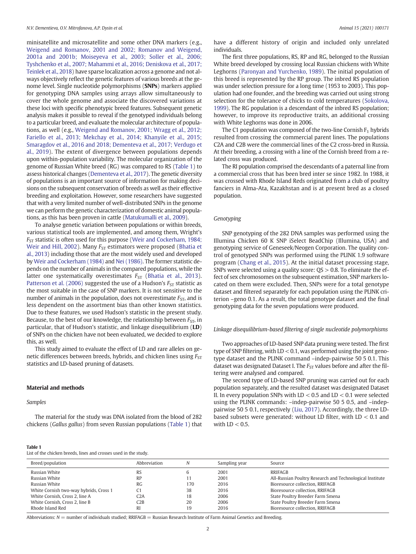minisatellite and microsatellite and some other DNA markers (e.g., Weigend and Romanov, 2001 and 2002; Romanov and Weigend, 2001a and 2001b; Moiseyeva et al., 2003; Soller et al., 2006; Tyshchenko et al., 2007; Mahammi et al., 2016; Deniskova et al., 2017; Teinlek et al., 2018) have sparse localization across a genome and not always objectively reflect the genetic features of various breeds at the genome level. Single nucleotide polymorphisms (SNPs) markers applied for genotyping DNA samples using arrays allow simultaneously to cover the whole genome and associate the discovered variations at these loci with specific phenotypic breed features. Subsequent genetic analysis makes it possible to reveal if the genotyped individuals belong to a particular breed, and evaluate the molecular architecture of populations, as well (e.g., Weigend and Romanov, 2001; Wragg et al., 2012; Fariello et al., 2013; Mekchay et al., 2014; Khanyile et al., 2015; Smaragdov et al., 2016 and 2018; Dementeva et al., 2017; Verdugo et al., 2019). The extent of divergence between populations depends upon within-population variability. The molecular organization of the genome of Russian White breed (RG) was compared to RS (Table 1) to assess historical changes (Dementeva et al., 2017). The genetic diversity of populations is an important source of information for making decisions on the subsequent conservation of breeds as well as their effective breeding and exploitation. However, some researchers have suggested that with a very limited number of well-distributed SNPs in the genome we can perform the genetic characterization of domestic animal populations, as this has been proven in cattle (Matukumalli et al., 2009).

To analyse genetic variation between populations or within breeds, various statistical tools are implemented, and among them, Wright's  $F_{ST}$  statistic is often used for this purpose (Weir and Cockerham, 1984; Weir and Hill, 2002). Many  $F_{ST}$  estimators were proposed (Bhatia et al., 2013) including those that are the most widely used and developed by Weir and Cockerham (1984) and Nei (1986). The former statistic depends on the number of animals in the compared populations, while the latter one systematically overestimates  $F_{ST}$  (Bhatia et al., 2013). Patterson et al. (2006) suggested the use of a Hudson's  $F_{ST}$  statistic as the most suitable in the case of SNP markers. It is not sensitive to the number of animals in the population, does not overestimate  $F_{ST}$ , and is less dependent on the assortment bias than other known statistics. Due to these features, we used Hudson's statistic in the present study. Because, to the best of our knowledge, the relationship between  $F_{ST}$ , in particular, that of Hudson's statistic, and linkage disequilibrium (LD) of SNPs on the chicken have not been evaluated, we decided to explore this, as well.

This study aimed to evaluate the effect of LD and rare alleles on genetic differences between breeds, hybrids, and chicken lines using  $F<sub>ST</sub>$ statistics and LD-based pruning of datasets.

#### Material and methods

### Samples

The material for the study was DNA isolated from the blood of 282 chickens (Gallus gallus) from seven Russian populations (Table 1) that

### Table 1

List of the chicken breeds, lines and crosses used in the study.

have a different history of origin and included only unrelated individuals.

The first three populations, RS, RP and RG, belonged to the Russian White breed developed by crossing local Russian chickens with White Leghorns (Paronyan and Yurchenko, 1989). The initial population of this breed is represented by the RP group. The inbred RS population was under selection pressure for a long time (1953 to 2003). This population had one founder, and the breeding was carried out using strong selection for the tolerance of chicks to cold temperatures (Sokolova, 1999). The RG population is a descendant of the inbred RS population; however, to improve its reproductive traits, an additional crossing with White Leghorns was done in 2006.

The C1 population was composed of the two-line Cornish  $F_1$  hybrids resulted from crossing the commercial parent lines. The populations C2A and C2B were the commercial lines of the C2 cross-bred in Russia. At their breeding, a crossing with a line of the Cornish breed from a related cross was produced.

The RI population comprised the descendants of a paternal line from a commercial cross that has been bred inter se since 1982. In 1988, it was crossed with Rhode Island Reds originated from a club of poultry fanciers in Alma-Ata, Kazakhstan and is at present bred as a closed population.

#### Genotyping

SNP genotyping of the 282 DNA samples was performed using the Illumina Chicken 60 K SNP iSelect BeadChip (Illumina, USA) and genotyping service of Geneseek/Neogen Corporation. The quality control of genotyped SNPs was performed using the PLINK 1.9 software program (Chang et al., 2015). At the initial dataset processing stage, SNPs were selected using a quality score:  $QS > 0.8$ . To eliminate the effect of sex chromosomes on the subsequent estimation, SNP markers located on them were excluded. Then, SNPs were for a total genotype dataset and filtered separately for each population using the PLINK criterion –geno 0.1. As a result, the total genotype dataset and the final genotyping data for the seven populations were produced.

### Linkage disequilibrium-based filtering of single nucleotide polymorphisms

Two approaches of LD-based SNP data pruning were tested. The first type of SNP filtering, with  $LD < 0.1$ , was performed using the joint genotype dataset and the PLINK command –indep-pairwise 50 5 0.1. This dataset was designated Dataset I. The  $F_{ST}$  values before and after the filtering were analysed and compared.

The second type of LD-based SNP pruning was carried out for each population separately, and the resulted dataset was designated Dataset II. In every population SNPs with  $LD < 0.5$  and  $LD < 0.1$  were selected using the PLINK commands: –indep-pairwise 50 5 0.5, and –indeppairwise 50 5 0.1, respectively (Liu, 2017). Accordingly, the three LDbased subsets were generated: without LD filter, with LD < 0.1 and with  $LD < 0.5$ .

| Breed/population                       | Abbreviation |     | Sampling year | Source                                                   |
|----------------------------------------|--------------|-----|---------------|----------------------------------------------------------|
| Russian White                          | RS           |     | 2001          | RRIFAGB                                                  |
| Russian White                          | RP           |     | 2001          | All-Russian Poultry Research and Technological Institute |
| Russian White                          | RG           | 170 | 2016          | Bioresource collection, RRIFAGB                          |
| White Cornish two-way hybrids, Cross 1 |              | 38  | 2016          | Bioresource collection, RRIFAGB                          |
| White Cornish, Cross 2, line A         | C2A          | 18  | 2006          | State Poultry Breeder Farm Smena                         |
| White Cornish, Cross 2, line B         | C2B          | 20  | 2006          | State Poultry Breeder Farm Smena                         |
| Rhode Island Red                       | RI           | 19  | 2016          | Bioresource collection, RRIFAGB                          |

Abbreviations:  $N =$  number of individuals studied; RRIFAGB = Russian Research Institute of Farm Animal Genetics and Breeding.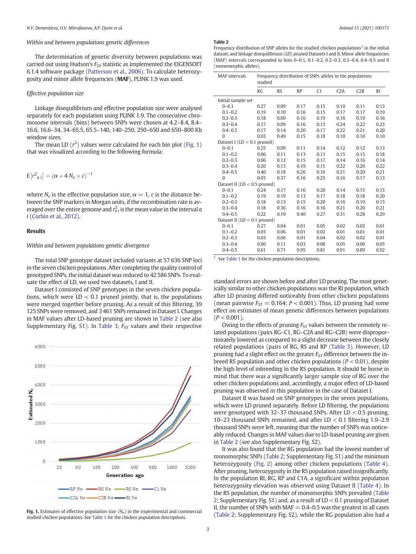### Within and between populations genetic differences

The determination of genetic diversity between populations was carried out using Hudson's  $F_{ST}$  statistic as implemented the EIGENSOFT 6.1.4 software package (Patterson et al., 2006). To calculate heterozygosity and minor allele frequencies (MAF), PLINK 1.9 was used.

### Effective population size

Linkage disequilibrium and effective population size were analysed separately for each population using PLINK 1.9. The consecutive chromosome intervals (bins) between SNPs were chosen at 4.2–8.4, 8.4– 16.6, 16.6–34, 34–65.5, 65.5–140, 140–250, 250–650 and 650–800 Kb window sizes.

The mean LD  $(r^2)$  values were calculated for each bin plot (Fig. 1) that was visualized according to the following formula:

$$
E[r^2_{\alpha i}] = (\alpha + 4 N_e \times c)^{-1}
$$

where  $N_e$  is the effective population size,  $\alpha = 1$ , c is the distance between the SNP markers in Morgan units, if the recombination rate is averaged over the entire genome and  $r_{a\, i}^2$  is the mean value in the interval  $a$ i (Corbin et al., 2012).

### Results

### Within and between populations genetic divergence

The total SNP genotype dataset included variants at 57 636 SNP loci in the seven chicken populations. After completing the quality control of genotyped SNPs, the initial dataset was reduced to 42 586 SNPs. To evaluate the effect of LD, we used two datasets, I and II.

Dataset I consisted of SNP genotypes in the seven chicken populations, which were  $LD < 0.1$  pruned jointly, that is, the populations were merged together before pruning. As a result of this filtering, 39 125 SNPs were removed, and 3 461 SNPs remained in Dataset I. Changes in MAF values after LD-based pruning are shown in Table 2 (see also Supplementary Fig. S1). In Table 3,  $F_{ST}$  values and their respective



### studied chicken populations. See Table 1 for the chicken population descriptions.

### Table 2

Frequency distribution of SNP alleles for the studied chicken populations<sup>1</sup> in the initial dataset, and linkage disequilibrium (LD) pruned Datasets I and II. Minor allele frequencies (MAF) intervals corresponded to bins 0–0.1, 0.1–0.2, 0.2–0.3, 0.3–0.4, 0.4–0.5 and 0 (monomorphic alleles).

| <b>MAF</b> intervals            | Frequency distribution of SNPs alleles in the populations<br>studied |           |           |      |      |      |           |
|---------------------------------|----------------------------------------------------------------------|-----------|-----------|------|------|------|-----------|
|                                 | <b>RG</b>                                                            | <b>RS</b> | <b>RP</b> | C1   | C2A  | C2B  | <b>RI</b> |
| Initial sample set              |                                                                      |           |           |      |      |      |           |
| $0 - 0.1$                       | 0.27                                                                 | 0.09      | 0.17      | 0.15 | 0.10 | 0.11 | 0.13      |
| $0.1 - 0.2$                     | 0.19                                                                 | 0.10      | 0.16      | 0.15 | 0.17 | 0.17 | 0.19      |
| $0.2 - 0.3$                     | 0.18                                                                 | 0.09      | 0.16      | 0.19 | 0.16 | 0.19 | 0.16      |
| $0.3 - 0.4$                     | 0.17                                                                 | 0.09      | 0.16      | 0.15 | 0.24 | 0.22 | 0.23      |
| $0.4 - 0.5$                     | 0.17                                                                 | 0.14      | 0.20      | 0.17 | 0.22 | 0.21 | 0.20      |
| $\theta$                        | 0.03                                                                 | 0.49      | 0.15      | 0.18 | 0.10 | 0.10 | 0.10      |
| Dataset I ( $LD < 0.1$ pruned)  |                                                                      |           |           |      |      |      |           |
| $0 - 0.1$                       | 0.25                                                                 | 0.09      | 0.11      | 0.14 | 0.12 | 0.12 | 0.13      |
| $0.1 - 0.2$                     | 0.06                                                                 | 0.11      | 0.13      | 0.13 | 0.15 | 0.15 | 0.18      |
| $0.2 - 0.3$                     | 0.06                                                                 | 0.12      | 0.15      | 0.17 | 0.14 | 0.16 | 0.14      |
| $0.3 - 0.4$                     | 0.20                                                                 | 0.13      | 0.19      | 0.15 | 0.22 | 0.20 | 0.22      |
| $0.4 - 0.5$                     | 0.40                                                                 | 0.18      | 0.26      | 0.16 | 0.21 | 0.20 | 0.21      |
| $\Omega$                        | 0.03                                                                 | 0.37      | 0.16      | 0.25 | 0.16 | 0.17 | 0.13      |
| Dataset II ( $LD < 0.5$ pruned) |                                                                      |           |           |      |      |      |           |
| $0 - 0.1$                       | 0.24                                                                 | 0.17      | 0.16      | 0.20 | 0.14 | 0.15 | 0.15      |
| $0.1 - 0.2$                     | 0.19                                                                 | 0.19      | 0.13      | 0.17 | 0.18 | 0.18 | 0.20      |
| $0.2 - 0.3$                     | 0.18                                                                 | 0.13      | 0.15      | 0.20 | 0.16 | 0.19 | 0.15      |
| $0.3 - 0.4$                     | 0.18                                                                 | 0.36      | 0.16      | 0.16 | 0.21 | 0.20 | 0.21      |
| $0.4 - 0.5$                     | 0.22                                                                 | 0.19      | 0.40      | 0.27 | 0.31 | 0.28 | 0.29      |
| Dataset II ( $LD < 0.1$ pruned) |                                                                      |           |           |      |      |      |           |
| $0 - 0.1$                       | 0.27                                                                 | 0.04      | 0.01      | 0.05 | 0.02 | 0.02 | 0.01      |
| $0.1 - 0.2$                     | 0.03                                                                 | 0.06      | 0.01      | 0.02 | 0.01 | 0.01 | 0.01      |
| $0.2 - 0.3$                     | 0.03                                                                 | 0.06      | 0.01      | 0.04 | 0.02 | 0.02 | 0.01      |
| $0.3 - 0.4$                     | 0.06                                                                 | 0.11      | 0.03      | 0.08 | 0.05 | 0.06 | 0.05      |
| $0.4 - 0.5$                     | 0.61                                                                 | 0.71      | 0.95      | 0.81 | 0.91 | 0.89 | 0.92      |

 $1$  See Table 1 for the chicken population descriptions.

standard errors are shown before and after LD pruning. The most genetically similar to other chicken populations was the RI population, which after LD pruning differed noticeably from other chicken populations (mean pairwise  $F_{ST} = 0.164$ ;  $P < 0.001$ ). Thus, LD pruning had some effect on estimates of mean genetic differences between populations  $(P < 0.001)$ .

Owing to the effects of pruning  $F_{ST}$  values between the remotely related populations (pairs RG–C1, RG–C2A and RG–C2B) were disproportionately lowered as compared to a slight decrease between the closely related populations (pairs of RG, RS and RP (Table 3). However, LD pruning had a slight effect on the greater  $F_{ST}$  difference between the inbreed RS population and other chicken populations ( $P < 0.01$ ), despite the high level of inbreeding in the RS population. It should be borne in mind that there was a significantly larger sample size of RG over the other chicken populations and, accordingly, a major effect of LD-based pruning was observed in this population in the case of Dataset I.

Dataset II was based on SNP genotypes in the seven populations, which were LD pruned separately. Before LD filtering, the populations were genotyped with 32–37 thousand SNPs. After LD < 0.5 pruning, 10–23 thousand SNPs remained, and after LD < 0.1 filtering 1.9–2.9 thousand SNPs were left, meaning that the number of SNPs was noticeably reduced. Changes in MAF values due to LD-based pruning are given in Table 2 (see also Supplementary Fig. S2).

It was also found that the RG population had the lowest number of monomorphic SNPs (Table 2; Supplementary Fig. S1) and the minimum heterozygosity (Fig. 2) among other chicken populations (Table 4). After pruning, heterozygosity in the RS population raised insignificantly. In the population RI, RG, RP and C1A, a significant within population heterozygosity elevation was observed using Dataset II (Table 4). In the RS population, the number of monomorphic SNPs prevailed (Table 2; Supplementary Fig. S1) and, as a result of LD < 0.1 pruning of Dataset II, the number of SNPs with  $MAF = 0.4 - 0.5$  was the greatest in all cases Fig. 1. Estimates of effective population size  $(N_e)$  in the experimental and commercial  $\frac{N_e}{\text{Table 2}}$ ; Supplementary Fig. S2), while the RG population also had a studied chicken populations See Table 1 for the chicken p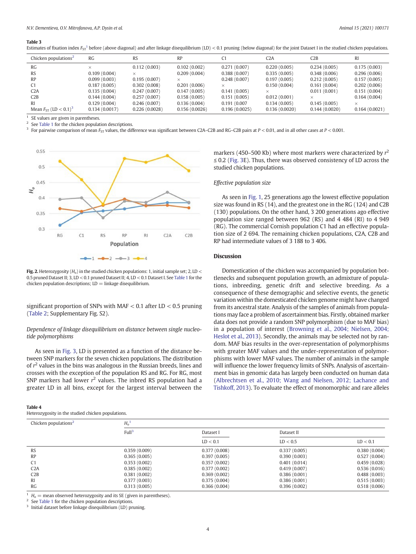#### Table 3

| Chicken populations- | <b>RG</b>    | RS               | DT.<br>w     |                  | تلك          | C2E              | DĪ<br>IМ         |
|----------------------|--------------|------------------|--------------|------------------|--------------|------------------|------------------|
| RG                   |              | (0.003<br>v. 112 | 0.102(0.002) | (0.007)<br>0.Z / | 0.220(0.005) | (0.005)<br>0.234 | (0.003)<br>0.175 |
| DC                   | 0.100(0.001) |                  | 0.200(0.001) | 0.288(0.007)     | 0.225(0.005) | 0.249(0.00C)     | 0.206(0.000)     |

Estimates of fixation index  $F_{ST}^{-1}$  before (above diagonal) and after linkage disequilibrium (LD) < 0.1 pruning (below diagonal) for the joint Dataset I in the studied chicken populations.

| RG                                       |               | 0.112(0.003)  | 0.102(0.002)  | 0.271(0.007)  | 0.220(0.005)  | 0.234(0.005)  | 0.175(0.003)  |
|------------------------------------------|---------------|---------------|---------------|---------------|---------------|---------------|---------------|
| RS                                       | 0.109(0.004)  |               | 0.209(0.004)  | 0.388(0.007)  | 0.335(0.005)  | 0.348(0.006)  | 0.296(0.006)  |
| RP                                       | 0.099(0.003)  | 0.195(0.007)  |               | 0.248(0.007)  | 0.197(0.005)  | 0.212(0.005)  | 0.157(0.005)  |
|                                          | 0.187(0.005)  | 0.302(0.008)  | 0.201(0.006)  |               | 0.150(0.004)  | 0.161(0.004)  | 0.202(0.006)  |
| C2A                                      | 0.135(0.004)  | 0.247(0.007)  | 0.147(0.005)  | 0.141(0.005)  |               | 0.011(0.001)  | 0.151(0.004)  |
| C2B                                      | 0.144(0.004)  | 0.257(0.007)  | 0.158(0.005)  | 0.151(0.005)  | 0.012(0.001)  |               | 0.164(0.004)  |
|                                          | 0.129(0.004)  | 0.246(0.007)  | 0.136(0.004)  | 0.191 (0.007  | 0.134(0.005)  | 0.145(0.005)  |               |
| Mean $F_{ST}$ (LD $< 0.1$ ) <sup>3</sup> | 0.134(0.0017) | 0.226(0.0028) | 0.156(0.0026) | 0.196(0.0025) | 0.136(0.0020) | 0.144(0.0020) | 0.164(0.0021) |

 $\overline{1}$  SE values are given in parentheses.

See Table 1 for the chicken population descriptions.

For pairwise comparison of mean  $F_{ST}$  values, the difference was significant between C2A–C2B and RG–C2B pairs at  $P < 0.01$ , and in all other cases at  $P < 0.001$ .



Fig. 2. Heterozygosity  $(H_0)$  in the studied chicken populations: 1, initial sample set; 2, LD < 0.5 pruned Dataset II; 3, LD < 0.1 pruned Dataset II; 4, LD < 0.1 Dataset I. See Table 1 for the chicken population descriptions;  $LD =$  linkage disequilibrium.

significant proportion of SNPs with MAF < 0.1 after LD < 0.5 pruning (Table 2; Supplementary Fig. S2).

### Dependence of linkage disequilibrium on distance between single nucleotide polymorphisms

As seen in Fig. 3, LD is presented as a function of the distance between SNP markers for the seven chicken populations. The distribution of  $r<sup>2</sup>$  values in the bins was analogous in the Russian breeds, lines and crosses with the exception of the population RS and RG. For RG, most SNP markers had lower  $r^2$  values. The inbred RS population had a greater LD in all bins, except for the largest interval between the

#### Table 4

Heterozygosity in the studied chicken populations.

markers (450–500 Kb) where most markers were characterized by  $r^2$ ≤ 0.2 (Fig. 3E). Thus, there was observed consistency of LD across the studied chicken populations.

### Effective population size

As seen in Fig. 1, 25 generations ago the lowest effective population size was found in RS (14), and the greatest one in the RG (124) and C2B (130) populations. On the other hand, 3 200 generations ago effective population size ranged between 962 (RS) and 4 484 (RI) to 4 949 (RG). The commercial Cornish population C1 had an effective population size of 2 694. The remaining chicken populations, C2A, C2B and RP had intermediate values of 3 188 to 3 406.

### **Discussion**

Domestication of the chicken was accompanied by population bottlenecks and subsequent population growth, an admixture of populations, inbreeding, genetic drift and selective breeding. As a consequence of these demographic and selective events, the genetic variation within the domesticated chicken genome might have changed from its ancestral state. Analysis of the samples of animals from populations may face a problem of ascertainment bias. Firstly, obtained marker data does not provide a random SNP polymorphism (due to MAF bias) in a population of interest (Browning et al., 2004; Nielsen, 2004; Heslot et al., 2013). Secondly, the animals may be selected not by random. MAF bias results in the over-representation of polymorphisms with greater MAF values and the under-representation of polymorphisms with lower MAF values. The number of animals in the sample will influence the lower frequency limits of SNPs. Analysis of ascertainment bias in genomic data has largely been conducted on human data (Albrechtsen et al., 2010; Wang and Nielsen, 2012; Lachance and Tishkoff, 2013). To evaluate the effect of monomorphic and rare alleles

| Chicken populations <sup>2</sup> | $H_o$             |              |              |              |  |  |  |  |
|----------------------------------|-------------------|--------------|--------------|--------------|--|--|--|--|
|                                  | Full <sup>3</sup> | Dataset I    | Dataset II   |              |  |  |  |  |
|                                  |                   | LD < 0.1     | LD < 0.5     | LD < 0.1     |  |  |  |  |
| <b>RS</b>                        | 0.359(0.009)      | 0.377(0.008) | 0.337(0.005) | 0.380(0.004) |  |  |  |  |
| RP                               | 0.365(0.005)      | 0.397(0.005) | 0.390(0.003) | 0.527(0.004) |  |  |  |  |
| C <sub>1</sub>                   | 0.353(0.002)      | 0.357(0.002) | 0.401(0.014) | 0.459(0.028) |  |  |  |  |
| C2A                              | 0.385(0.002)      | 0.377(0.002) | 0.419(0.007) | 0.536(0.016) |  |  |  |  |
| C2B                              | 0.381(0.002)      | 0.369(0.002) | 0.386(0.001) | 0.488(0.003) |  |  |  |  |
| <sub>RI</sub>                    | 0.377(0.003)      | 0.375(0.004) | 0.386(0.001) | 0.515(0.003) |  |  |  |  |
| RG                               | 0.313(0.005)      | 0.366(0.004) | 0.396(0.002) | 0.518(0.006) |  |  |  |  |

 $^1$   $\,H_0$   $=$  mean observed heterozygosity and its SE (given in parentheses).  $^2$  See Table 1 for the chicken population descriptions.

<sup>3</sup> Initial dataset before linkage disequilibrium (LD) pruning.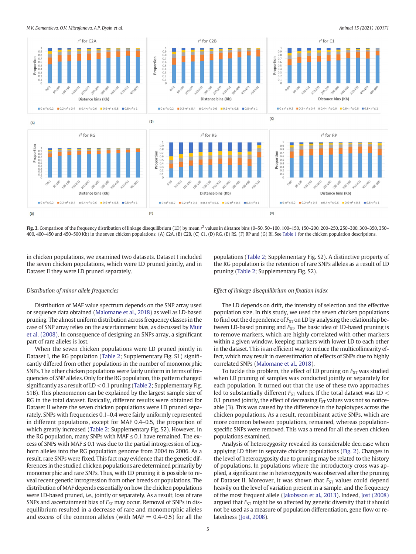N.V. Dementieva, O.V. Mitrofanova, A.P. Dysin et al. Animal 15 (2021) 100171



Fig. 3. Comparison of the frequency distribution of linkage disequilibrium (LD) by mean r<sup>2</sup> values in distance bins (0-50, 50-100, 100-150, 150-200, 200-250, 250-300, 300-350, 350-300, 200-250, 250-300, 200-250, 250-300, 400, 400–450 and 450–500 Kb) in the seven chicken populations: (A) C2A, (B) C2B, (C) C1, (D) RG, (E) RS, (F) RP and (G) RI. See Table 1 for the chicken population descriptions.

in chicken populations, we examined two datasets. Dataset I included the seven chicken populations, which were LD pruned jointly, and in Dataset II they were LD pruned separately.

### Distribution of minor allele frequencies

Distribution of MAF value spectrum depends on the SNP array used or sequence data obtained (Malomane et al., 2018) as well as LD-based pruning. The almost uniform distribution across frequency classes in the case of SNP array relies on the ascertainment bias, as discussed by Muir et al. (2008). In consequence of designing an SNPs array, a significant part of rare alleles is lost.

When the seven chicken populations were LD pruned jointly in Dataset I, the RG population (Table 2; Supplementary Fig. S1) significantly differed from other populations in the number of monomorphic SNPs. The other chicken populations were fairly uniform in terms of frequencies of SNP alleles. Only for the RG population, this pattern changed significantly as a result of LD < 0.1 pruning (Table 2; Supplementary Fig. S1B). This phenomenon can be explained by the largest sample size of RG in the total dataset. Basically, different results were obtained for Dataset II where the seven chicken populations were LD pruned separately. SNPs with frequencies 0.1–0.4 were fairly uniformly represented in different populations, except for MAF 0.4–0.5, the proportion of which greatly increased (Table 2; Supplementary Fig. S2). However, in the RG population, many SNPs with MAF  $\leq$  0.1 have remained. The excess of SNPs with MAF ≤ 0.1 was due to the partial introgression of Leghorn alleles into the RG population genome from 2004 to 2006. As a result, rare SNPs were fixed. This fact may evidence that the genetic differences in the studied chicken populations are determined primarily by monomorphic and rare SNPs. Thus, with LD pruning it is possible to reveal recent genetic introgression from other breeds or populations. The distribution of MAF depends essentially on how the chicken populations were LD-based pruned, i.e., jointly or separately. As a result, loss of rare SNPs and ascertainment bias of  $F_{ST}$  may occur. Removal of SNPs in disequilibrium resulted in a decrease of rare and monomorphic alleles and excess of the common alleles (with  $MAF = 0.4-0.5$ ) for all the populations (Table 2; Supplementary Fig. S2). A distinctive property of the RG population is the retention of rare SNPs alleles as a result of LD pruning (Table 2; Supplementary Fig. S2).

### Effect of linkage disequilibrium on fixation index

The LD depends on drift, the intensity of selection and the effective population size. In this study, we used the seven chicken populations to find out the dependence of  $F_{ST}$  on LD by analysing the relationship between LD-based pruning and  $F_{ST}$ . The basic idea of LD-based pruning is to remove markers, which are highly correlated with other markers within a given window, keeping markers with lower LD to each other in the dataset. This is an efficient way to reduce the multicollinearity effect, which may result in overestimation of effects of SNPs due to highly correlated SNPs (Malomane et al., 2018).

To tackle this problem, the effect of LD pruning on  $F_{ST}$  was studied when LD pruning of samples was conducted jointly or separately for each population. It turned out that the use of these two approaches led to substantially different  $F_{ST}$  values. If the total dataset was LD  $<$ 0.1 pruned jointly, the effect of decreasing  $F_{ST}$  values was not so noticeable (3). This was caused by the difference in the haplotypes across the chicken populations. As a result, recombinant active SNPs, which are more common between populations, remained, whereas populationspecific SNPs were removed. This was a trend for all the seven chicken populations examined.

Analysis of heterozygosity revealed its considerable decrease when applying LD filter in separate chicken populations (Fig. 2). Changes in the level of heterozygosity due to pruning may be related to the history of populations. In populations where the introductory cross was applied, a significant rise in heterozygosity was observed after the pruning of Dataset II. Moreover, it was shown that  $F_{ST}$  values could depend heavily on the level of variation present in a sample, and the frequency of the most frequent allele (Jakobsson et al., 2013). Indeed, Jost (2008) argued that  $F_{ST}$  might be so affected by genetic diversity that it should not be used as a measure of population differentiation, gene flow or relatedness (Jost, 2008).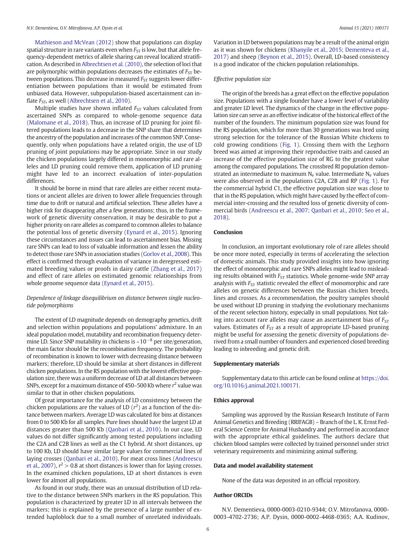Mathieson and McVean (2012) show that populations can display spatial structure in rare variants even when  $F_{ST}$  is low, but that allele frequency-dependent metrics of allele sharing can reveal localized stratification. As described in Albrechtsen et al. (2010), the selection of loci that are polymorphic within populations decreases the estimates of  $F_{ST}$  between populations. This decrease in measured  $F_{ST}$  suggests lower differentiation between populations than it would be estimated from unbiased data. However, subpopulation-biased ascertainment can inflate  $F_{ST}$ , as well (Albrechtsen et al., 2010).

Multiple studies have shown inflated  $F_{ST}$  values calculated from ascertained SNPs as compared to whole-genome sequence data (Malomane et al., 2018). Thus, an increase of LD pruning for joint filtered populations leads to a decrease in the SNP share that determines the ancestry of the population and increases of the common SNP. Consequently, only when populations have a related origin, the use of LD pruning of joint populations may be appropriate. Since in our study the chicken populations largely differed in monomorphic and rare alleles and LD pruning could remove them, application of LD pruning might have led to an incorrect evaluation of inter-population differences.

It should be borne in mind that rare alleles are either recent mutations or ancient alleles are driven to lower allele frequencies through time due to drift or natural and artificial selection. These alleles have a higher risk for disappearing after a few generations; thus, in the framework of genetic diversity conservation, it may be desirable to put a higher priority on rare alleles as compared to common alleles to balance the potential loss of genetic diversity (Eynard et al., 2015). Ignoring these circumstances and issues can lead to ascertainment bias. Missing rare SNPs can lead to loss of valuable information and lessen the ability to detect those rare SNPs in association studies (Gorlov et al., 2008). This effect is confirmed through evaluation of variance in deregressed estimated breeding values or proofs in dairy cattle (Zhang et al., 2017) and effect of rare alleles on estimated genomic relationships from whole genome sequence data (Eynard et al., 2015).

### Dependence of linkage disequilibrium on distance between single nucleotide polymorphisms

The extent of LD magnitude depends on demography genetics, drift and selection within populations and populations' admixture. In an ideal population model, mutability and recombination frequency determine LD. Since SNP mutability in chickens is  $\sim 10^{-8}$  per site/generation, the main factor should be the recombination frequency. The probability of recombination is known to lower with decreasing distance between markers; therefore, LD should be similar at short distances in different chicken populations. In the RS population with the lowest effective population size, there was a uniform decrease of LD at all distances between SNPs, except for a maximum distance of 450–500 Kb where  $r^2$  value was similar to that in other chicken populations.

Of great importance for the analysis of LD consistency between the chicken populations are the values of LD  $(r^2)$  as a function of the distance between markers. Average LD was calculated for bins at distances from 0 to 500 Kb for all samples. Pure lines should have the largest LD at distances greater than 500 Kb (Qanbari et al., 2010). In our case, LD values do not differ significantly among tested populations including the C2A and C2B lines as well as the C1 hybrid. At short distances, up to 100 Kb, LD should have similar large values for commercial lines of laying crosses (Qanbari et al., 2010). For meat cross lines (Andreescu et al., 2007),  $r^2 > 0.8$  at short distances is lower than for laying crosses. In the examined chicken populations, LD at short distances is even lower for almost all populations.

As found in our study, there was an unusual distribution of LD relative to the distance between SNPs markers in the RS population. This population is characterized by greater LD in all intervals between the markers; this is explained by the presence of a large number of extended haploblock due to a small number of unrelated individuals.

Variation in LD between populations may be a result of the animal origin as it was shown for chickens (Khanyile et al., 2015; Dementeva et al., 2017) and sheep (Beynon et al., 2015). Overall, LD-based consistency is a good indicator of the chicken population relationships.

### Effective population size

The origin of the breeds has a great effect on the effective population size. Populations with a single founder have a lower level of variability and greater LD level. The dynamics of the change in the effective population size can serve as an effective indicator of the historical effect of the number of the founders. The minimum population size was found for the RS population, which for more than 30 generations was bred using strong selection for the tolerance of the Russian White chickens to cold growing conditions (Fig. 1). Crossing them with the Leghorn breed was aimed at improving their reproductive traits and caused an increase of the effective population size of RG to the greatest value among the compared populations. The crossbred RI population demonstrated an intermediate to maximum  $N_e$  value. Intermediate  $N_e$  values were also observed in the populations C2A, C2B and RP (Fig. 1). For the commercial hybrid C1, the effective population size was close to that in the RS population, which might have caused by the effect of commercial inter-crossing and the resulted loss of genetic diversity of commercial birds (Andreescu et al., 2007; Qanbari et al., 2010; Seo et al., 2018).

### **Conclusion**

In conclusion, an important evolutionary role of rare alleles should be once more noted, especially in terms of accelerating the selection of domestic animals. This study provided insights into how ignoring the effect of monomorphic and rare SNPs alleles might lead to misleading results obtained with  $F_{ST}$  statistics. Whole genome-wide SNP array analysis with  $F_{ST}$  statistic revealed the effect of monomorphic and rare alleles on genetic differences between the Russian chicken breeds, lines and crosses. As a recommendation, the poultry samples should be used without LD pruning in studying the evolutionary mechanisms of the recent selection history, especially in small populations. Not taking into account rare alleles may cause an ascertainment bias of  $F<sub>ST</sub>$ values. Estimates of  $F_{ST}$  as a result of appropriate LD-based pruning might be useful for assessing the genetic diversity of populations derived from a small number of founders and experienced closed breeding leading to inbreeding and genetic drift.

### Supplementary materials

Supplementary data to this article can be found online at [https://doi.](https://doi.org/10.1016/j.animal.2021.100171) [org/10.1016/j.animal.2021.100171](https://doi.org/10.1016/j.animal.2021.100171).

### Ethics approval

Sampling was approved by the Russian Research Institute of Farm Animal Genetics and Breeding (RRIFAGB) – Branch of the L. K. Ernst Federal Science Centre for Animal Husbandry and performed in accordance with the appropriate ethical guidelines. The authors declare that chicken blood samples were collected by trained personnel under strict veterinary requirements and minimizing animal suffering.

### Data and model availability statement

None of the data was deposited in an official repository.

### Author ORCIDs

N.V. Dementieva, 0000-0003-0210-9344; O.V. Mitrofanova, 0000- 0003-4702-2736; A.P. Dysin, 0000-0002-4468-0365; A.A. Kudinov,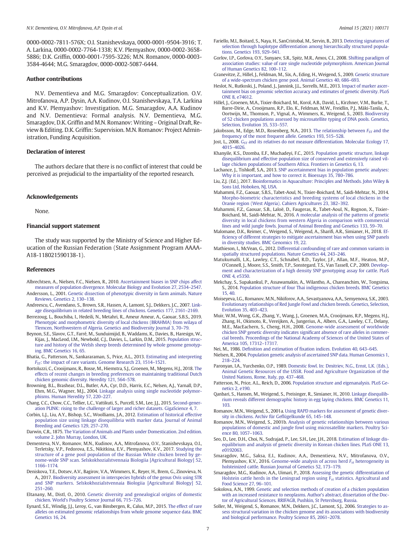0000-0002-7811-576X; O.I. Stanishevskaya, 0000-0001-9504-3916; T. A. Larkina, 0000-0002-7764-1338; K.V. Plemyashov, 0000-0002-3658- 5886; D.K. Griffin, 0000-0001-7595-3226; M.N. Romanov, 0000-0003- 3584-4644; M.G. Smaragdov, 0000-0002-5087-6444.

#### Author contributions

N.V. Dementieva and M.G. Smaragdov: Conceptualization. O.V. Mitrofanova, A.P. Dysin, A.A. Kudinov, O.I. Stanishevskaya, T.A. Larkina and K.V. Plemyashov: Investigation. M.G. Smaragdov, A.A. Kudinov and N.V. Dementieva: Formal analysis. N.V. Dementieva, M.G. Smaragdov, D.K. Griffin and M.N. Romanov: Writing – Original Draft, Review & Editing. D.K. Griffin: Supervision. M.N. Romanov: Project Administration, Funding Acquisition.

### Declaration of interest

The authors declare that there is no conflict of interest that could be perceived as prejudicial to the impartiality of the reported research.

### Acknowledgements

None.

### Financial support statement

The study was supported by the Ministry of Science and Higher Education of the Russian Federation (State Assignment Program AAAA-A18-118021590138-1).

### References

- Albrechtsen, A., Nielsen, F.C., Nielsen, R., 2010. [Ascertainment biases in SNP chips affect](http://refhub.elsevier.com/S1751-7311(21)00001-X/rf0005) [measures of population divergence. Molecular Biology and Evolution 27, 2534](http://refhub.elsevier.com/S1751-7311(21)00001-X/rf0005)–2547. Andersson, L., 2001. [Genetic dissection of phenotypic diversity in farm animals. Nature](http://refhub.elsevier.com/S1751-7311(21)00001-X/rf0010)
- [Reviews. Genetics 2, 130](http://refhub.elsevier.com/S1751-7311(21)00001-X/rf0010)–138. Andreescu, C., Avendano, S., Brown, S.R., Hassen, A., Lamont, S.J., Dekkers, J.C., 2007. [Link-](http://refhub.elsevier.com/S1751-7311(21)00001-X/rf0015)
- [age disequilibrium in related breeding lines of chickens. Genetics 177, 2161](http://refhub.elsevier.com/S1751-7311(21)00001-X/rf0015)–2169.
- Berrezoug, L., Bouchiba, I., Hedeili, N., Metahri, R., Ameur Ameur, A., Gaouar, S.B.S., 2019. [Phenotypic and morphometric diversity of local chickens \(BRAHMA\) from wilaya of](http://refhub.elsevier.com/S1751-7311(21)00001-X/rf0020) [Tlemcen, Northwestern of Algeria. Genetics and Biodiversity Journal 3, 70](http://refhub.elsevier.com/S1751-7311(21)00001-X/rf0020)–79.
- Beynon, S.E., Slavov, G.T., Farré, M., Sunduimijid, B., Waddams, K., Davies, B., Haresign, W., Kijas, J., MacLeod, I.M., Newbold, C.J., Davies, L., Larkin, D.M., 2015. [Population struc](http://refhub.elsevier.com/S1751-7311(21)00001-X/rf0025)[ture and history of the Welsh sheep breeds determined by whole genome genotyp](http://refhub.elsevier.com/S1751-7311(21)00001-X/rf0025)[ing. BMC Genetics 16, 65.](http://refhub.elsevier.com/S1751-7311(21)00001-X/rf0025)
- Bhatia, G., Patterson, N., Sankararaman, S., Price, A.L., 2013. [Estimating and interpreting](http://refhub.elsevier.com/S1751-7311(21)00001-X/rf0030) F<sub>ST</sub>: the impact of rare variants. Genome Research 23, 1514–1521.
- Bortoluzzi, C., Crooijmans, R., Bosse, M., Hiemstra, S.J., Groenen, M., Megens, H.J., 2018. [The](http://refhub.elsevier.com/S1751-7311(21)00001-X/rf0035) [effects of recent changes in breeding preferences on maintaining traditional Dutch](http://refhub.elsevier.com/S1751-7311(21)00001-X/rf0035) [chicken genomic diversity. Heredity 121, 564](http://refhub.elsevier.com/S1751-7311(21)00001-X/rf0035)–578.
- Browning, B.L., Brashear, D.L., Butler, A.A., Cyr, D.D., Harris, E.C., Nelsen, A.J., Yarnall, D.P., Ehm, M.G., Wagner, M.J., 2004. [Linkage analysis using single nucleotide polymor](http://refhub.elsevier.com/S1751-7311(21)00001-X/rf0040)[phisms. Human Heredity 57, 220](http://refhub.elsevier.com/S1751-7311(21)00001-X/rf0040)–227.
- Chang, C.C., Chow, C.C., Tellier, L.C., Vattikuti, S., Purcell, S.M., Lee, J.J., 2015. [Second-gener](http://refhub.elsevier.com/S1751-7311(21)00001-X/rf0045)[ation PLINK: rising to the challenge of larger and richer datasets. GigaScience 4, 7.](http://refhub.elsevier.com/S1751-7311(21)00001-X/rf0045)
- Corbin, L.J., Liu, A.Y., Bishop, S.C., Woolliams, J.A., 2012. [Estimation of historical effective](http://refhub.elsevier.com/S1751-7311(21)00001-X/rf0050) [population size using linkage disequilibria with marker data. Journal of Animal](http://refhub.elsevier.com/S1751-7311(21)00001-X/rf0050) [Breeding and Genetics 129, 257](http://refhub.elsevier.com/S1751-7311(21)00001-X/rf0050)–270.
- Darwin, C.R., 1875. [The Variation of Animals and Plants under Domestication. 2nd edition.](http://refhub.elsevier.com/S1751-7311(21)00001-X/rf0055) [volume 2. John Murray, London, UK.](http://refhub.elsevier.com/S1751-7311(21)00001-X/rf0055)
- Dementeva, N.V., Romanov, M.N., Kudinov, A.A., Mitrofanova, O.V., Stanishevskaya, O.I., Terletsky, V.P., Fedorova, E.S., Nikitkina, E.V., Plemyashov, K.V., 2017. [Studying the](http://refhub.elsevier.com/S1751-7311(21)00001-X/rf0060) [structure of a gene pool population of the Russian White chicken breed by ge](http://refhub.elsevier.com/S1751-7311(21)00001-X/rf0060)nome-wide SNP scan. Selskokhoziaĭ[stvennaia Biologiia \[Agricultural Biology\] 52,](http://refhub.elsevier.com/S1751-7311(21)00001-X/rf0060) [1166](http://refhub.elsevier.com/S1751-7311(21)00001-X/rf0060)–1174.
- Deniskova, T.E., Dotsev, A.V., Bagirov, V.A., Wimmers, K., Reyer, H., Brem, G., Zinovieva, N. A., 2017. [Biodiversity assessment in interspecies hybrids of the genus Ovis using STR](http://refhub.elsevier.com/S1751-7311(21)00001-X/rf0065) and SNP markers. Selskokhoziaĭ[stvennaia Biologiia \[Agricultural Biology\] 52,](http://refhub.elsevier.com/S1751-7311(21)00001-X/rf0065) [251](http://refhub.elsevier.com/S1751-7311(21)00001-X/rf0065)–260.
- Eltanany, M., Distl, O., 2010. [Genetic diversity and genealogical origins of domestic](http://refhub.elsevier.com/S1751-7311(21)00001-X/rf0070) [chicken. World's Poultry Science Journal 66, 715](http://refhub.elsevier.com/S1751-7311(21)00001-X/rf0070)–726.
- Eynard, S.E., Windig, J.J., Leroy, G., van Binsbergen, R., Calus, M.P., 2015. [The effect of rare](http://refhub.elsevier.com/S1751-7311(21)00001-X/rf0075) [alleles on estimated genomic relationships from whole genome sequence data. BMC](http://refhub.elsevier.com/S1751-7311(21)00001-X/rf0075) [Genetics 16, 24.](http://refhub.elsevier.com/S1751-7311(21)00001-X/rf0075)
- Fariello, M.I., Boitard, S., Naya, H., SanCristobal, M., Servin, B., 2013. [Detecting signatures of](http://refhub.elsevier.com/S1751-7311(21)00001-X/rf0080) [selection through haplotype differentiation among hierarchically structured popula](http://refhub.elsevier.com/S1751-7311(21)00001-X/rf0080)[tions. Genetics 193, 929](http://refhub.elsevier.com/S1751-7311(21)00001-X/rf0080)–941.
- Gorlov, I.P., Gorlova, O.Y., Sunyaev, S.R., Spitz, M.R., Amos, C.I., 2008. [Shifting paradigm of](http://refhub.elsevier.com/S1751-7311(21)00001-X/rf0085) [association studies: value of rare single nucleotide polymorphism. American Journal](http://refhub.elsevier.com/S1751-7311(21)00001-X/rf0085) [of Human Genetics 82, 100](http://refhub.elsevier.com/S1751-7311(21)00001-X/rf0085)–112.
- Granevitze, Z., Hillel, J., Feldman, M., Six, A., Eding, H., Weigend, S., 2009. [Genetic structure](http://refhub.elsevier.com/S1751-7311(21)00001-X/rf0090) [of a wide-spectrum chicken gene pool. Animal Genetics 40, 686](http://refhub.elsevier.com/S1751-7311(21)00001-X/rf0090)–693.
- Heslot, N., Rutkoski, J., Poland, J., Jannink, J.L., Sorrells, M.E., 2013. [Impact of marker ascer](http://refhub.elsevier.com/S1751-7311(21)00001-X/rf0095)[tainment bias on genomic selection accuracy and estimates of genetic diversity. PLoS](http://refhub.elsevier.com/S1751-7311(21)00001-X/rf0095) [ONE 8, e74612](http://refhub.elsevier.com/S1751-7311(21)00001-X/rf0095).
- Hillel, J., Groenen, M.A., Tixier-Boichard, M., Korol, A.B., David, L., Kirzhner, V.M., Burke, T., Barre-Dirie, A., Crooijmans, R.P., Elo, K., Feldman, M.W., Freidlin, P.J., Mäki-Tanila, A., Oortwijn, M., Thomson, P., Vignal, A., Wimmers, K., Weigend, S., 2003. [Biodiversity](http://refhub.elsevier.com/S1751-7311(21)00001-X/rf0100) [of 52 chicken populations assessed by microsatellite typing of DNA pools. Genetics,](http://refhub.elsevier.com/S1751-7311(21)00001-X/rf0100) [Selection, Evolution 35, 533](http://refhub.elsevier.com/S1751-7311(21)00001-X/rf0100)–557.
- Jakobsson, M., Edge, M.D., Rosenberg, N.A., 2013. [The relationship between](http://refhub.elsevier.com/S1751-7311(21)00001-X/rf0105)  $F_{ST}$  [and the](http://refhub.elsevier.com/S1751-7311(21)00001-X/rf0105) [frequency of the most frequent allele. Genetics 193, 515](http://refhub.elsevier.com/S1751-7311(21)00001-X/rf0105)–528.
- Jost, L., 2008. G<sub>[ST](http://refhub.elsevier.com/S1751-7311(21)00001-X/rf0110)</sub> [and its relatives do not measure differentiation. Molecular Ecology 17,](http://refhub.elsevier.com/S1751-7311(21)00001-X/rf0110) [4015](http://refhub.elsevier.com/S1751-7311(21)00001-X/rf0110)–4026.
- Khanyile, K.S., Dzomba, E.F., Muchadeyi, F.C., 2015. [Population genetic structure, linkage](http://refhub.elsevier.com/S1751-7311(21)00001-X/rf0115) [disequilibrium and effective population size of conserved and extensively raised vil](http://refhub.elsevier.com/S1751-7311(21)00001-X/rf0115)[lage chicken populations of Southern Africa. Frontiers in Genetics 6, 13.](http://refhub.elsevier.com/S1751-7311(21)00001-X/rf0115)
- Lachance, J., Tishkoff, S.A., 2013. [SNP ascertainment bias in population genetic analyses:](http://refhub.elsevier.com/S1751-7311(21)00001-X/rf0120) [Why it is important, and how to correct it. Bioessays 35, 780](http://refhub.elsevier.com/S1751-7311(21)00001-X/rf0120)–786.
- Liu, Z.J. (Ed.), 2017. [Bioinformatics in Aquaculture: Principles and Methods. John Wiley &](http://refhub.elsevier.com/S1751-7311(21)00001-X/rf0125) [Sons Ltd, Hoboken, NJ, USA.](http://refhub.elsevier.com/S1751-7311(21)00001-X/rf0125)
- Mahammi, F.Z., Gaouar, S.B.S., Tabet-Aoul, N., Tixier-Boichard, M., Saidi-Mehtar, N., 2014. [Morpho-biometric characteristics and breeding systems of local chickens in the](http://refhub.elsevier.com/S1751-7311(21)00001-X/rf0130) [Oranie region \(West Algeria\). Cahiers Agricultures 23, 382](http://refhub.elsevier.com/S1751-7311(21)00001-X/rf0130)–392.
- Mahammi, F.Z., Gaouar, S.B., Laloë, D., Faugeras, R., Tabet-Aoul, N., Rognon, X., Tixier-Boichard, M., Saidi-Mehtar, N., 2016. [A molecular analysis of the patterns of genetic](http://refhub.elsevier.com/S1751-7311(21)00001-X/rf0135) [diversity in local chickens from western Algeria in comparison with commercial](http://refhub.elsevier.com/S1751-7311(21)00001-X/rf0135) [lines and wild jungle fowls. Journal of Animal Breeding and Genetics 133, 59](http://refhub.elsevier.com/S1751-7311(21)00001-X/rf0135)–70.
- Malomane, D.K., Reimer, C., Weigend, S., Weigend, A., Sharifi, A.R., Simianer, H., 2018. [Ef](http://refhub.elsevier.com/S1751-7311(21)00001-X/rf0140)fi[ciency of different strategies to mitigate ascertainment bias when using SNP panels](http://refhub.elsevier.com/S1751-7311(21)00001-X/rf0140) [in diversity studies. BMC Genomics 19, 22.](http://refhub.elsevier.com/S1751-7311(21)00001-X/rf0140)
- Mathieson, I., McVean, G., 2012. [Differential confounding of rare and common variants in](http://refhub.elsevier.com/S1751-7311(21)00001-X/rf0145) [spatially structured populations. Nature Genetics 44, 243](http://refhub.elsevier.com/S1751-7311(21)00001-X/rf0145)–246.
- Matukumalli, L.K., Lawley, C.T., Schnabel, R.D., Taylor, J.F., Allan, M.F., Heaton, M.P., O'Connell, J., Moore, S.S., Smith, T.P., Sonstegard, T.S., Van Tassell, C.P., 2009. [Develop](http://refhub.elsevier.com/S1751-7311(21)00001-X/rf0150)[ment and characterization of a high density SNP genotyping assay for cattle. PLoS](http://refhub.elsevier.com/S1751-7311(21)00001-X/rf0150) [ONE 4, e5350.](http://refhub.elsevier.com/S1751-7311(21)00001-X/rf0150)
- Mekchay, S., Supakankul, P., Assawamakin, A., Wilantho, A., Chareanchim, W., Tongsima, S., 2014. [Population structure of four Thai indigenous chicken breeds. BMC Genetics](http://refhub.elsevier.com/S1751-7311(21)00001-X/rf0155) [15, 40.](http://refhub.elsevier.com/S1751-7311(21)00001-X/rf0155)
- Moiseyeva, I.G., Romanov, M.N., Nikiforov, A.A., Sevastyanova, A.A., Semyenova, S.K., 2003. [Evolutionary relationships of Red Jungle Fowl and chicken breeds. Genetics, Selection,](http://refhub.elsevier.com/S1751-7311(21)00001-X/rf0160) [Evolution 35, 403](http://refhub.elsevier.com/S1751-7311(21)00001-X/rf0160)–423.
- Muir, W.M., Wong, G.K., Zhang, Y., Wang, J., Groenen, M.A., Crooijmans, R.P., Megens, H.J., Zhang, H., Okimoto, R., Vereijken, A., Jungerius, A., Albers, G.A., Lawley, C.T., Delany, M.E., MacEachern, S., Cheng, H.H., 2008. [Genome-wide assessment of worldwide](http://refhub.elsevier.com/S1751-7311(21)00001-X/rf0165) [chicken SNP genetic diversity indicates signi](http://refhub.elsevier.com/S1751-7311(21)00001-X/rf0165)ficant absence of rare alleles in commer[cial breeds. Proceedings of the National Academy of Sciences of the United States of](http://refhub.elsevier.com/S1751-7311(21)00001-X/rf0165) [America 105, 17312](http://refhub.elsevier.com/S1751-7311(21)00001-X/rf0165)–17317.
- Nei, M., 1986. Definition and estimation of fi[xation indices. Evolution 40, 643](http://refhub.elsevier.com/S1751-7311(21)00001-X/rf0170)–645.
- Nielsen, R., 2004. [Population genetic analysis of ascertained SNP data. Human Genomics 1,](http://refhub.elsevier.com/S1751-7311(21)00001-X/rf0175) [218](http://refhub.elsevier.com/S1751-7311(21)00001-X/rf0175)–224.
- Paronyan, I.A., Yurchenko, O.P., 1989. [Domestic fowl. In: Dmitriev, N.G., Ernst, L.K. \(Eds.\),](http://refhub.elsevier.com/S1751-7311(21)00001-X/rf0180) [Animal Genetic Resources of the USSR. Food and Agriculture Organization of the](http://refhub.elsevier.com/S1751-7311(21)00001-X/rf0180) [United Nations, Rome, Italy, pp. 437](http://refhub.elsevier.com/S1751-7311(21)00001-X/rf0180)–468.
- Patterson, N., Price, A.L., Reich, D., 2006. [Population structure and eigenanalysis. PLoS Ge](http://refhub.elsevier.com/S1751-7311(21)00001-X/rf0185)[netics 2, e190](http://refhub.elsevier.com/S1751-7311(21)00001-X/rf0185).
- Qanbari, S., Hansen, M., Weigend, S., Preisinger, R., Simianer, H., 2010. [Linkage disequilib](http://refhub.elsevier.com/S1751-7311(21)00001-X/rf0190)[rium reveals different demographic history in egg laying chickens. BMC Genetics 11,](http://refhub.elsevier.com/S1751-7311(21)00001-X/rf0190) [103.](http://refhub.elsevier.com/S1751-7311(21)00001-X/rf0190)
- Romanov, M.N., Weigend, S., 2001a. [Using RAPD markers for assessment of genetic diver](http://refhub.elsevier.com/S1751-7311(21)00001-X/rf0195)[sity in chickens. Archiv für Ge](http://refhub.elsevier.com/S1751-7311(21)00001-X/rf0195)flügelkunde 65, 145–148.
- Romanov, M.N., Weigend, S., 2001b. [Analysis of genetic relationships between various](http://refhub.elsevier.com/S1751-7311(21)00001-X/rf0200) [populations of domestic and jungle fowl using microsatellite markers. Poultry Sci](http://refhub.elsevier.com/S1751-7311(21)00001-X/rf0200)[ence 80, 1057](http://refhub.elsevier.com/S1751-7311(21)00001-X/rf0200)–1063.
- Seo, D., Lee, D.H., Choi, N., Sudrajad, P., Lee, S.H., Lee, J.H., 2018. [Estimation of linkage dis](http://refhub.elsevier.com/S1751-7311(21)00001-X/rf0205)[equilibrium and analysis of genetic diversity in Korean chicken lines. PLoS ONE 13,](http://refhub.elsevier.com/S1751-7311(21)00001-X/rf0205) [e0192063](http://refhub.elsevier.com/S1751-7311(21)00001-X/rf0205).
- Smaragdov, M.G., Saksa, E.I., Kudinov, A.A., Dementieva, N.V., Mitrofanova, O.V., Plemyashov, K.V., 2016. [Genome-wide analysis of across herd](http://refhub.elsevier.com/S1751-7311(21)00001-X/rf0210)  $F_{st}$  [heterogeneity in](http://refhub.elsevier.com/S1751-7311(21)00001-X/rf0210) [holsteinized cattle. Russian Journal of Genetics 52, 173](http://refhub.elsevier.com/S1751-7311(21)00001-X/rf0210)–179.
- Smaragdov, M.G., Kudinov, A.A., Uimari, P., 2018. [Assessing the genetic differentiation of](http://refhub.elsevier.com/S1751-7311(21)00001-X/rf0215) Holstein cattle herds in the Leningrad region using  $F_{st}$  [statistics. Agricultural and](http://refhub.elsevier.com/S1751-7311(21)00001-X/rf0215) [Food Science 27, 96](http://refhub.elsevier.com/S1751-7311(21)00001-X/rf0215)–101.
- Sokolova, A.N., 1999. [Genetic and selection methods of creation of a chicken population](http://refhub.elsevier.com/S1751-7311(21)00001-X/rf0220) [with an increased resistance to neoplasms. Author](http://refhub.elsevier.com/S1751-7311(21)00001-X/rf0220)'s abstract, dissertation of the Doc[tor of Agricultural Sciences. RRIFAGB, Pushkin, St Petersburg, Russia](http://refhub.elsevier.com/S1751-7311(21)00001-X/rf0220).
- Soller, M., Weigend, S., Romanov, M.N., Dekkers, J.C., Lamont, S.J., 2006. [Strategies to as](http://refhub.elsevier.com/S1751-7311(21)00001-X/rf0225)[sess structural variation in the chicken genome and its associations with biodiversity](http://refhub.elsevier.com/S1751-7311(21)00001-X/rf0225) [and biological performance. Poultry Science 85, 2061](http://refhub.elsevier.com/S1751-7311(21)00001-X/rf0225)–2078.